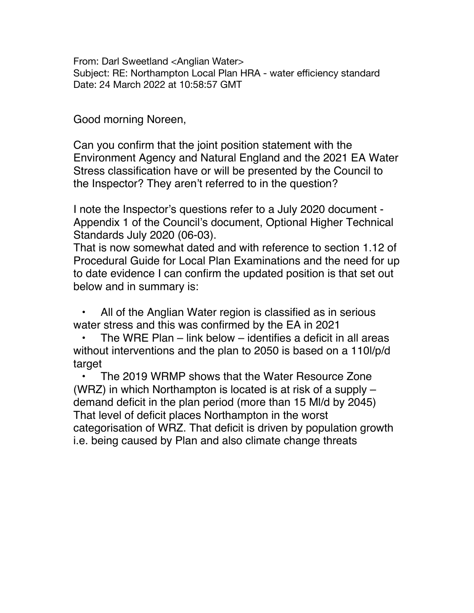From: Darl Sweetland <Anglian Water> Subject: RE: Northampton Local Plan HRA - water efficiency standard Date: 24 March 2022 at 10:58:57 GMT

Good morning Noreen,

Can you confirm that the joint position statement with the Environment Agency and Natural England and the 2021 EA Water Stress classification have or will be presented by the Council to the Inspector? They aren't referred to in the question?

I note the Inspector's questions refer to a July 2020 document - Appendix 1 of the Council's document, Optional Higher Technical Standards July 2020 (06-03).

That is now somewhat dated and with reference to section 1.12 of Procedural Guide for Local Plan Examinations and the need for up to date evidence I can confirm the updated position is that set out below and in summary is:

All of the Anglian Water region is classified as in serious water stress and this was confirmed by the EA in 2021

• The WRE Plan – link below – identifies a deficit in all areas without interventions and the plan to 2050 is based on a 110l/p/d target

• The 2019 WRMP shows that the Water Resource Zone (WRZ) in which Northampton is located is at risk of a supply – demand deficit in the plan period (more than 15 Ml/d by 2045) That level of deficit places Northampton in the worst categorisation of WRZ. That deficit is driven by population growth i.e. being caused by Plan and also climate change threats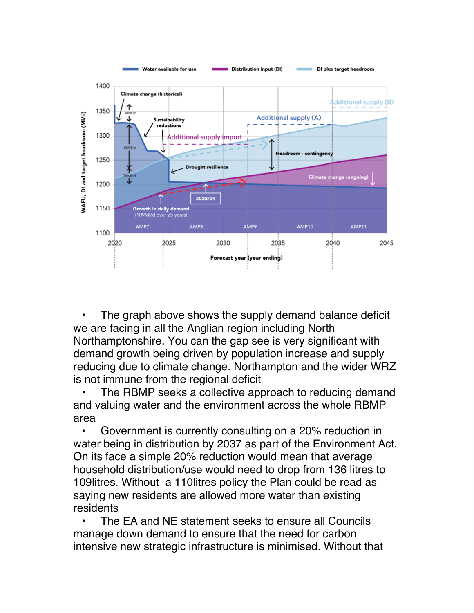

The graph above shows the supply demand balance deficit we are facing in all the Anglian region including North Northamptonshire. You can the gap see is very significant with demand growth being driven by population increase and supply reducing due to climate change. Northampton and the wider WRZ is not immune from the regional deficit

The RBMP seeks a collective approach to reducing demand and valuing water and the environment across the whole RBMP area

• Government is currently consulting on a 20% reduction in water being in distribution by 2037 as part of the Environment Act. On its face a simple 20% reduction would mean that average household distribution/use would need to drop from 136 litres to 109litres. Without a 110litres policy the Plan could be read as saying new residents are allowed more water than existing residents

• The EA and NE statement seeks to ensure all Councils manage down demand to ensure that the need for carbon intensive new strategic infrastructure is minimised. Without that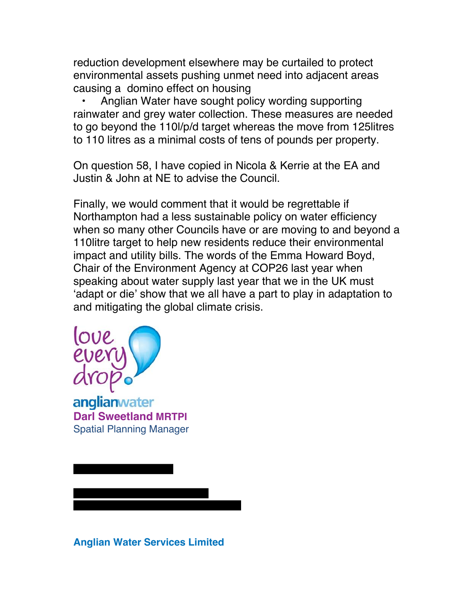reduction development elsewhere may be curtailed to protect environmental assets pushing unmet need into adjacent areas causing a domino effect on housing

• Anglian Water have sought policy wording supporting rainwater and grey water collection. These measures are needed to go beyond the 110l/p/d target whereas the move from 125litres to 110 litres as a minimal costs of tens of pounds per property.

On question 58, I have copied in Nicola & Kerrie at the EA and Justin & John at NE to advise the Council.

Finally, we would comment that it would be regrettable if Northampton had a less sustainable policy on water efficiency when so many other Councils have or are moving to and beyond a 110litre target to help new residents reduce their environmental impact and utility bills. The words of the Emma Howard Boyd, Chair of the Environment Agency at COP26 last year when speaking about water supply last year that we in the UK must 'adapt or die' show that we all have a part to play in adaptation to and mitigating the global climate crisis.



Ξ

anglianwater **Darl Sweetland MRTPI** Spatial Planning Manager

**Anglian Water Services Limited**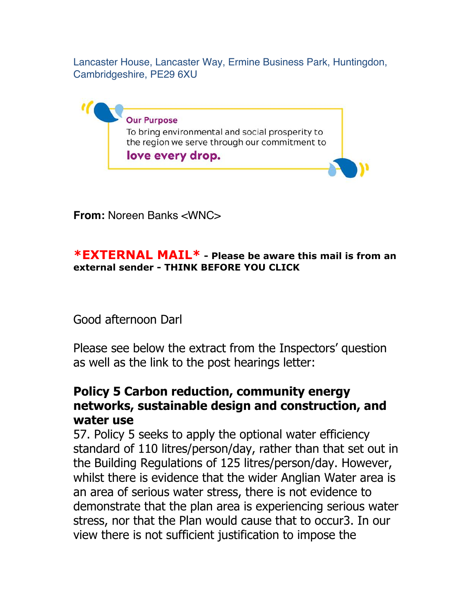Lancaster House, Lancaster Way, Ermine Business Park, Huntingdon, Cambridgeshire, PE29 6XU



**From:** Noreen Banks <WNC>

### **\*EXTERNAL MAIL\* - Please be aware this mail is from an external sender - THINK BEFORE YOU CLICK**

# Good afternoon Darl

Please see below the extract from the Inspectors' question as well as the link to the post hearings letter:

# **Policy 5 Carbon reduction, community energy networks, sustainable design and construction, and water use**

57. Policy 5 seeks to apply the optional water efficiency standard of 110 litres/person/day, rather than that set out in the Building Regulations of 125 litres/person/day. However, whilst there is evidence that the wider Anglian Water area is an area of serious water stress, there is not evidence to demonstrate that the plan area is experiencing serious water stress, nor that the Plan would cause that to occur3. In our view there is not sufficient justification to impose the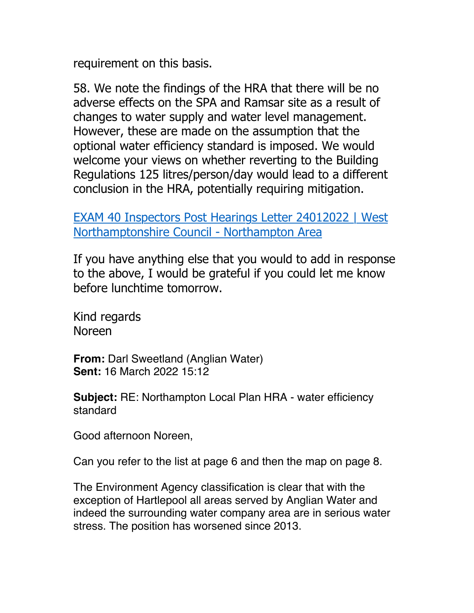requirement on this basis.

58. We note the findings of the HRA that there will be no adverse effects on the SPA and Ramsar site as a result of changes to water supply and water level management. However, these are made on the assumption that the optional water efficiency standard is imposed. We would welcome your views on whether reverting to the Building Regulations 125 litres/person/day would lead to a different conclusion in the HRA, potentially requiring mitigation.

[EXAM 40 Inspectors Post Hearings Letter 24012022 | West](https://www.northampton.gov.uk/downloads/file/12963/exam-40-inspectors-post-hearings-letter-24012022)  [Northamptonshire Council - Northampton Area](https://www.northampton.gov.uk/downloads/file/12963/exam-40-inspectors-post-hearings-letter-24012022)

If you have anything else that you would to add in response to the above, I would be grateful if you could let me know before lunchtime tomorrow.

Kind regards Noreen

**From:** Darl Sweetland (Anglian Water) **Sent:** 16 March 2022 15:12

**Subject:** RE: Northampton Local Plan HRA - water efficiency standard

Good afternoon Noreen,

Can you refer to the list at page 6 and then the map on page 8.

The Environment Agency classification is clear that with the exception of Hartlepool all areas served by Anglian Water and indeed the surrounding water company area are in serious water stress. The position has worsened since 2013.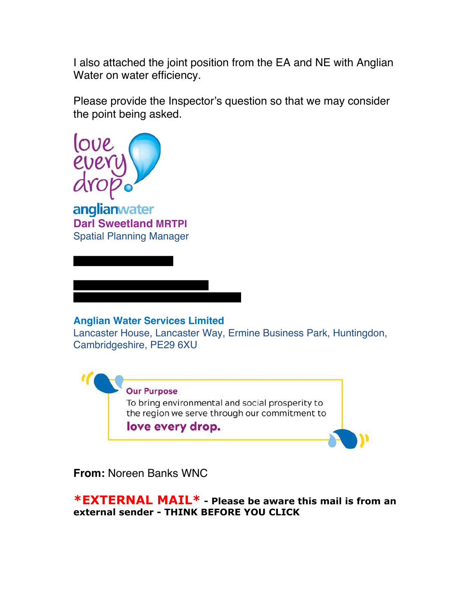I also attached the joint position from the EA and NE with Anglian Water on water efficiency.

Please provide the Inspector's question so that we may consider the point being asked.



anglianwater **Darl Sweetland MRTPI** Spatial Planning Manager

#### **Anglian Water Services Limited**

Lancaster House, Lancaster Way, Ermine Business Park, Huntingdon, Cambridgeshire, PE29 6XU



**From:** Noreen Banks WNC

**\*EXTERNAL MAIL\* - Please be aware this mail is from an external sender - THINK BEFORE YOU CLICK**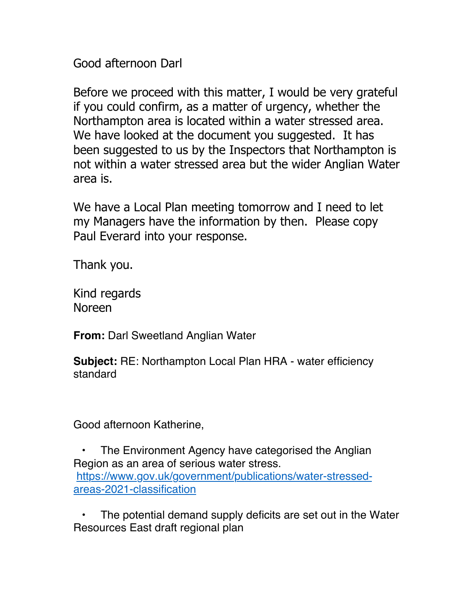Good afternoon Darl

Before we proceed with this matter, I would be very grateful if you could confirm, as a matter of urgency, whether the Northampton area is located within a water stressed area. We have looked at the document you suggested. It has been suggested to us by the Inspectors that Northampton is not within a water stressed area but the wider Anglian Water area is.

We have a Local Plan meeting tomorrow and I need to let my Managers have the information by then. Please copy Paul Everard into your response.

Thank you.

Kind regards Noreen

**From:** Darl Sweetland Anglian Water

**Subject:** RE: Northampton Local Plan HRA - water efficiency standard

Good afternoon Katherine,

The Environment Agency have categorised the Anglian Region as an area of serious water stress. [https://www.gov.uk/government/publications/water-stressed](https://www.gov.uk/government/publications/water-stressed-areas-2021-classification)[areas-2021-classification](https://www.gov.uk/government/publications/water-stressed-areas-2021-classification)

The potential demand supply deficits are set out in the Water Resources East draft regional plan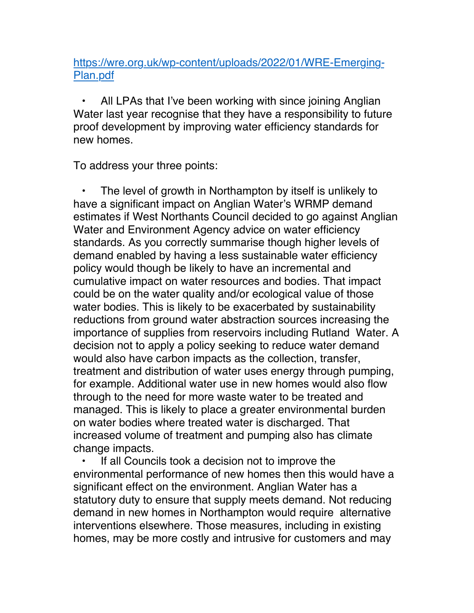## [https://wre.org.uk/wp-content/uploads/2022/01/WRE-Emerging-](https://wre.org.uk/wp-content/uploads/2022/01/WRE-Emerging-Plan.pdf)[Plan.pdf](https://wre.org.uk/wp-content/uploads/2022/01/WRE-Emerging-Plan.pdf)

All LPAs that I've been working with since joining Anglian Water last year recognise that they have a responsibility to future proof development by improving water efficiency standards for new homes.

To address your three points:

The level of growth in Northampton by itself is unlikely to have a significant impact on Anglian Water's WRMP demand estimates if West Northants Council decided to go against Anglian Water and Environment Agency advice on water efficiency standards. As you correctly summarise though higher levels of demand enabled by having a less sustainable water efficiency policy would though be likely to have an incremental and cumulative impact on water resources and bodies. That impact could be on the water quality and/or ecological value of those water bodies. This is likely to be exacerbated by sustainability reductions from ground water abstraction sources increasing the importance of supplies from reservoirs including Rutland Water. A decision not to apply a policy seeking to reduce water demand would also have carbon impacts as the collection, transfer, treatment and distribution of water uses energy through pumping, for example. Additional water use in new homes would also flow through to the need for more waste water to be treated and managed. This is likely to place a greater environmental burden on water bodies where treated water is discharged. That increased volume of treatment and pumping also has climate change impacts.

If all Councils took a decision not to improve the environmental performance of new homes then this would have a significant effect on the environment. Anglian Water has a statutory duty to ensure that supply meets demand. Not reducing demand in new homes in Northampton would require alternative interventions elsewhere. Those measures, including in existing homes, may be more costly and intrusive for customers and may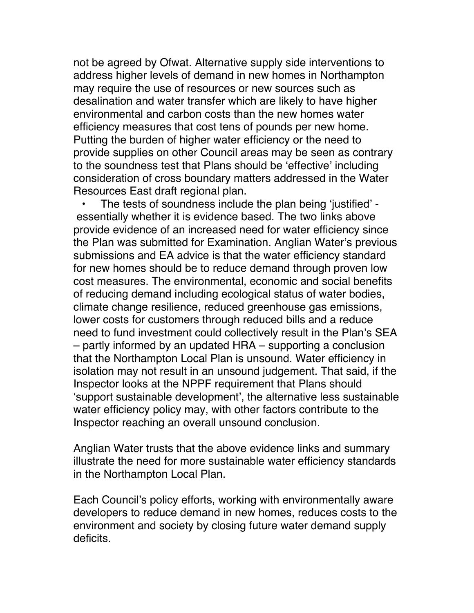not be agreed by Ofwat. Alternative supply side interventions to address higher levels of demand in new homes in Northampton may require the use of resources or new sources such as desalination and water transfer which are likely to have higher environmental and carbon costs than the new homes water efficiency measures that cost tens of pounds per new home. Putting the burden of higher water efficiency or the need to provide supplies on other Council areas may be seen as contrary to the soundness test that Plans should be 'effective' including consideration of cross boundary matters addressed in the Water Resources East draft regional plan.

• The tests of soundness include the plan being 'justified' essentially whether it is evidence based. The two links above provide evidence of an increased need for water efficiency since the Plan was submitted for Examination. Anglian Water's previous submissions and EA advice is that the water efficiency standard for new homes should be to reduce demand through proven low cost measures. The environmental, economic and social benefits of reducing demand including ecological status of water bodies, climate change resilience, reduced greenhouse gas emissions, lower costs for customers through reduced bills and a reduce need to fund investment could collectively result in the Plan's SEA – partly informed by an updated HRA – supporting a conclusion that the Northampton Local Plan is unsound. Water efficiency in isolation may not result in an unsound judgement. That said, if the Inspector looks at the NPPF requirement that Plans should 'support sustainable development', the alternative less sustainable water efficiency policy may, with other factors contribute to the Inspector reaching an overall unsound conclusion.

Anglian Water trusts that the above evidence links and summary illustrate the need for more sustainable water efficiency standards in the Northampton Local Plan.

Each Council's policy efforts, working with environmentally aware developers to reduce demand in new homes, reduces costs to the environment and society by closing future water demand supply deficits.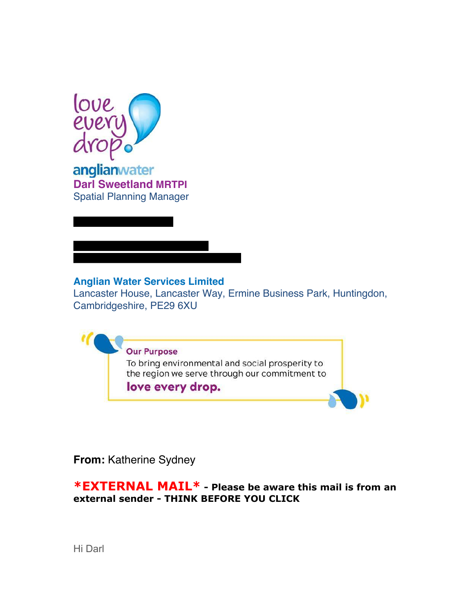

Ξ

anglianwater **Darl Sweetland MRTPI** Spatial Planning Manager

# **Anglian Water Services Limited**

Lancaster House, Lancaster Way, Ermine Business Park, Huntingdon, Cambridgeshire, PE29 6XU



**From:** Katherine Sydney

**\*EXTERNAL MAIL\* - Please be aware this mail is from an external sender - THINK BEFORE YOU CLICK**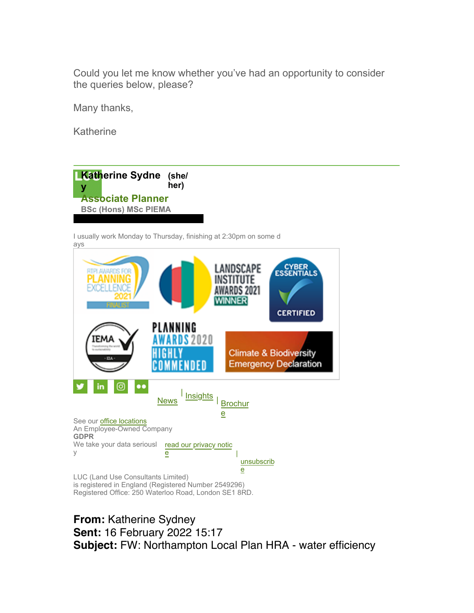Could you let me know whether you've had an opportunity to consider the queries below, please?

Many thanks,

Katherine



I usually work Monday to Thursday, finishing at 2:30pm on some d ays



**From:** Katherine Sydney **Sent:** 16 February 2022 15:17 **Subject:** FW: Northampton Local Plan HRA - water efficiency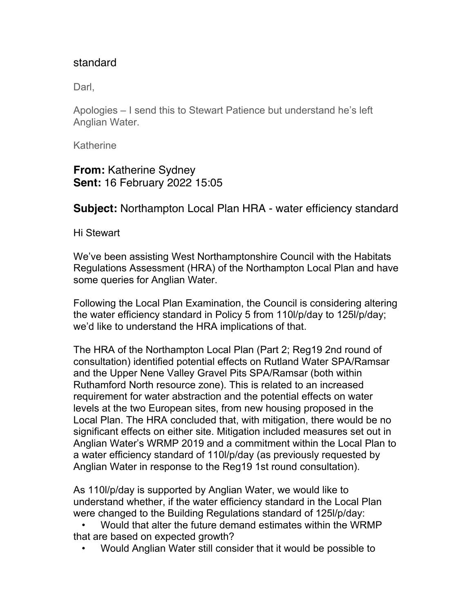## standard

Darl.

Apologies – I send this to Stewart Patience but understand he's left Anglian Water.

**Katherine** 

**From:** Katherine Sydney **Sent:** 16 February 2022 15:05

**Subject:** Northampton Local Plan HRA - water efficiency standard

Hi Stewart

We've been assisting West Northamptonshire Council with the Habitats Regulations Assessment (HRA) of the Northampton Local Plan and have some queries for Anglian Water.

Following the Local Plan Examination, the Council is considering altering the water efficiency standard in Policy 5 from 110l/p/day to 125l/p/day; we'd like to understand the HRA implications of that.

The HRA of the Northampton Local Plan (Part 2; Reg19 2nd round of consultation) identified potential effects on Rutland Water SPA/Ramsar and the Upper Nene Valley Gravel Pits SPA/Ramsar (both within Ruthamford North resource zone). This is related to an increased requirement for water abstraction and the potential effects on water levels at the two European sites, from new housing proposed in the Local Plan. The HRA concluded that, with mitigation, there would be no significant effects on either site. Mitigation included measures set out in Anglian Water's WRMP 2019 and a commitment within the Local Plan to a water efficiency standard of 110l/p/day (as previously requested by Anglian Water in response to the Reg19 1st round consultation).

As 110l/p/day is supported by Anglian Water, we would like to understand whether, if the water efficiency standard in the Local Plan were changed to the Building Regulations standard of 125l/p/day:

• Would that alter the future demand estimates within the WRMP that are based on expected growth?

• Would Anglian Water still consider that it would be possible to